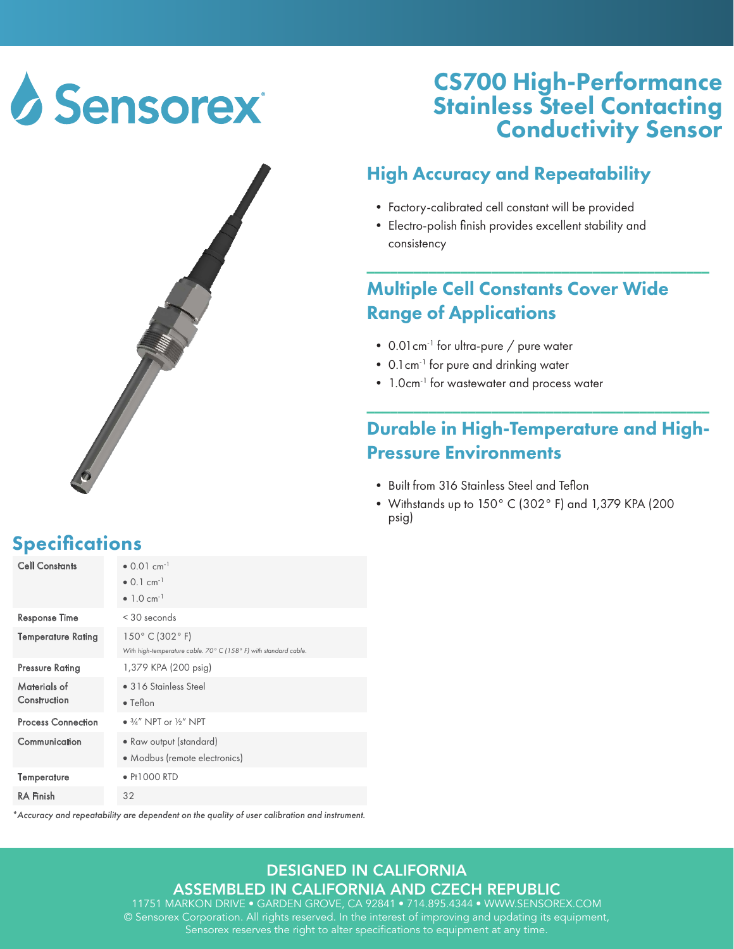# **Sensorex**



## CS700 High-Performance Stainless Steel Contacting Conductivity Sensor

### High Accuracy and Repeatability

- Factory-calibrated cell constant will be provided
- Electro-polish finish provides excellent stability and consistency

#### Multiple Cell Constants Cover Wide Range of Applications

\_\_\_\_\_\_\_\_\_\_\_\_\_\_\_\_\_\_\_\_\_\_\_\_\_\_\_\_\_\_\_\_\_\_\_\_\_\_\_\_\_\_\_\_

- 0.01 cm<sup>-1</sup> for ultra-pure / pure water
- 0.1cm-1 for pure and drinking water
- 1.0cm<sup>-1</sup> for wastewater and process water

### Durable in High-Temperature and High-Pressure Environments

\_\_\_\_\_\_\_\_\_\_\_\_\_\_\_\_\_\_\_\_\_\_\_\_\_\_\_\_\_\_\_\_\_\_\_\_\_\_\_\_\_\_\_\_

- Built from 316 Stainless Steel and Teflon
- Withstands up to 150° C (302° F) and 1,379 KPA (200 psig)

### **Specifications**

| <b>Cell Constants</b>        | $\bullet$ 0.01 cm <sup>-1</sup>                                  |
|------------------------------|------------------------------------------------------------------|
|                              | $\bullet$ 0.1 cm <sup>-1</sup>                                   |
|                              | • 1.0 $cm^{-1}$                                                  |
| <b>Response Time</b>         | $<$ 30 seconds                                                   |
| <b>Temperature Rating</b>    | $150^{\circ}$ C (302 $^{\circ}$ F)                               |
|                              | With high-temperature cable. 70° C (158° F) with standard cable. |
| <b>Pressure Rating</b>       | 1,379 KPA (200 psig)                                             |
| Materials of<br>Construction | • 316 Stainless Steel                                            |
|                              | $\bullet$ Teflon                                                 |
| <b>Process Connection</b>    | $\bullet$ 3/4" NPT or 1/2" NPT                                   |
| Communication                | • Raw output (standard)                                          |
|                              | • Modbus (remote electronics)                                    |
| Temperature                  | $\bullet$ Pt1000 RTD                                             |
| <b>RA</b> Finish             | 32                                                               |

*\*Accuracy and repeatability are dependent on the quality of user calibration and instrument.*

#### DESIGNED IN CALIFORNIA ASSEMBLED IN CALIFORNIA AND CZECH REPUBLIC

11751 MARKON DRIVE • GARDEN GROVE, CA 92841 • 714.895.4344 • WWW.SENSOREX.COM © Sensorex Corporation. All rights reserved. In the interest of improving and updating its equipment, Sensorex reserves the right to alter specifications to equipment at any time.